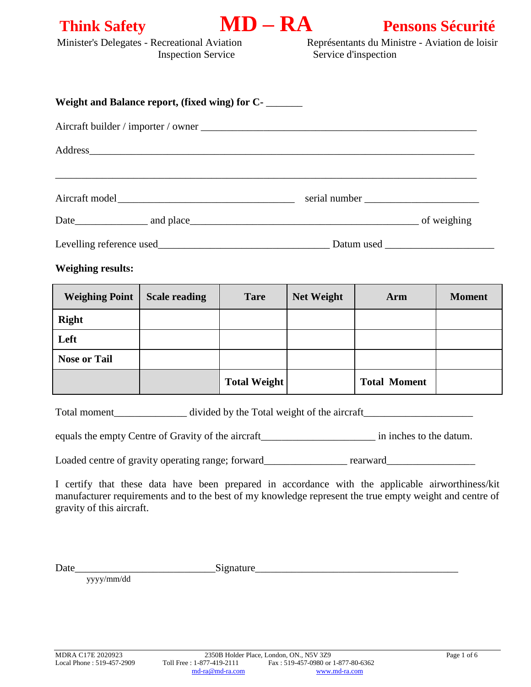



Minister's Delegates - Recreational Aviation Représentants du Ministre - Aviation de loisir Inspection Service Service d'inspection

| Weight and Balance report, (fixed wing) for C- |            |  |  |
|------------------------------------------------|------------|--|--|
|                                                |            |  |  |
| Address                                        |            |  |  |
| Aircraft model                                 |            |  |  |
|                                                |            |  |  |
| Levelling reference used                       | Datum used |  |  |

#### **Weighing results:**

| <b>Weighing Point</b> | <b>Scale reading</b> | <b>Tare</b>         | <b>Net Weight</b> | Arm                 | <b>Moment</b> |
|-----------------------|----------------------|---------------------|-------------------|---------------------|---------------|
| <b>Right</b>          |                      |                     |                   |                     |               |
| Left                  |                      |                     |                   |                     |               |
| <b>Nose or Tail</b>   |                      |                     |                   |                     |               |
|                       |                      | <b>Total Weight</b> |                   | <b>Total Moment</b> |               |

Total moment\_\_\_\_\_\_\_\_\_\_\_\_\_\_ divided by the Total weight of the aircraft\_\_\_\_\_\_\_\_\_\_\_\_\_\_\_\_\_\_\_\_\_

equals the empty Centre of Gravity of the aircraft\_\_\_\_\_\_\_\_\_\_\_\_\_\_\_\_\_\_\_\_\_\_ in inches to the datum.

Loaded centre of gravity operating range; forward\_\_\_\_\_\_\_\_\_\_\_\_\_\_ rearward\_\_\_\_\_\_\_\_\_\_\_\_\_\_\_

I certify that these data have been prepared in accordance with the applicable airworthiness/kit manufacturer requirements and to the best of my knowledge represent the true empty weight and centre of gravity of this aircraft.

Date\_\_\_\_\_\_\_\_\_\_\_\_\_\_\_\_\_\_\_\_\_\_\_\_\_\_\_Signature\_\_\_\_\_\_\_\_\_\_\_\_\_\_\_\_\_\_\_\_\_\_\_\_\_\_\_\_\_\_\_\_\_\_\_\_\_\_\_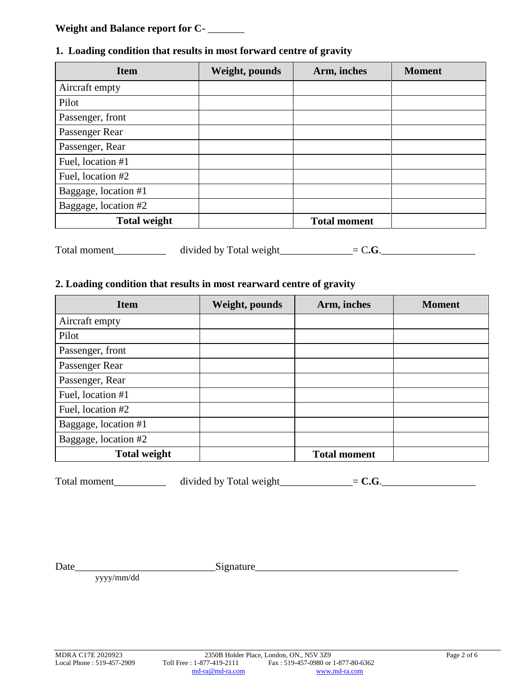# **Weight and Balance report for C-** \_\_\_\_\_\_\_

### **1. Loading condition that results in most forward centre of gravity**

| <b>Item</b>          | Weight, pounds | Arm, inches         | <b>Moment</b> |
|----------------------|----------------|---------------------|---------------|
| Aircraft empty       |                |                     |               |
| Pilot                |                |                     |               |
| Passenger, front     |                |                     |               |
| Passenger Rear       |                |                     |               |
| Passenger, Rear      |                |                     |               |
| Fuel, location #1    |                |                     |               |
| Fuel, location #2    |                |                     |               |
| Baggage, location #1 |                |                     |               |
| Baggage, location #2 |                |                     |               |
| <b>Total weight</b>  |                | <b>Total moment</b> |               |

Total moment\_\_\_\_\_\_\_\_\_\_ divided by Total weight\_\_\_\_\_\_\_\_\_\_\_\_\_=  $C.G.$ 

# **2. Loading condition that results in most rearward centre of gravity**

| <b>Item</b>          | Weight, pounds | Arm, inches         | <b>Moment</b> |
|----------------------|----------------|---------------------|---------------|
| Aircraft empty       |                |                     |               |
| Pilot                |                |                     |               |
| Passenger, front     |                |                     |               |
| Passenger Rear       |                |                     |               |
| Passenger, Rear      |                |                     |               |
| Fuel, location #1    |                |                     |               |
| Fuel, location #2    |                |                     |               |
| Baggage, location #1 |                |                     |               |
| Baggage, location #2 |                |                     |               |
| <b>Total weight</b>  |                | <b>Total moment</b> |               |

Total moment\_\_\_\_\_\_\_\_\_\_ divided by Total weight\_\_\_\_\_\_\_\_\_\_\_\_\_=  $C.G.$ 

Date\_\_\_\_\_\_\_\_\_\_\_\_\_\_\_\_\_\_\_\_\_\_\_\_\_\_\_Signature\_\_\_\_\_\_\_\_\_\_\_\_\_\_\_\_\_\_\_\_\_\_\_\_\_\_\_\_\_\_\_\_\_\_\_\_\_\_\_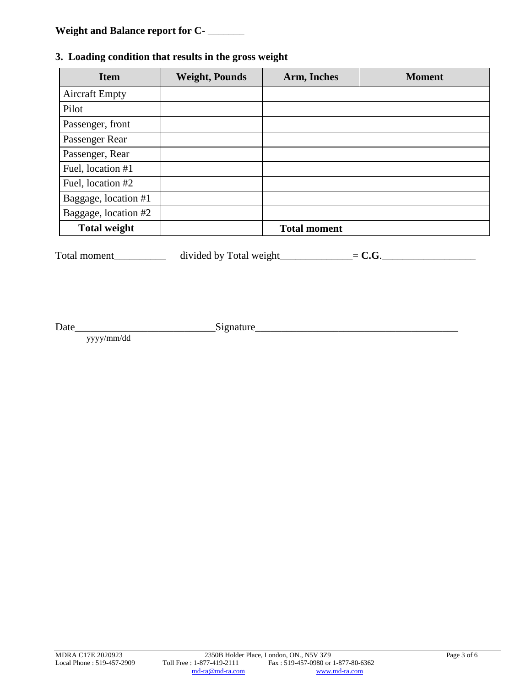# **Weight and Balance report for C-** \_\_\_\_\_\_\_

# **3. Loading condition that results in the gross weight**

| <b>Item</b>           | <b>Weight, Pounds</b> | Arm, Inches         | <b>Moment</b> |
|-----------------------|-----------------------|---------------------|---------------|
| <b>Aircraft Empty</b> |                       |                     |               |
| Pilot                 |                       |                     |               |
| Passenger, front      |                       |                     |               |
| Passenger Rear        |                       |                     |               |
| Passenger, Rear       |                       |                     |               |
| Fuel, location #1     |                       |                     |               |
| Fuel, location #2     |                       |                     |               |
| Baggage, location #1  |                       |                     |               |
| Baggage, location #2  |                       |                     |               |
| <b>Total weight</b>   |                       | <b>Total moment</b> |               |

Total moment\_\_\_\_\_\_\_\_\_\_ divided by Total weight\_\_\_\_\_\_\_\_\_\_\_\_\_=  $C.G.$ 

Date\_\_\_\_\_\_\_\_\_\_\_\_\_\_\_\_\_\_\_\_\_\_\_\_\_\_\_Signature\_\_\_\_\_\_\_\_\_\_\_\_\_\_\_\_\_\_\_\_\_\_\_\_\_\_\_\_\_\_\_\_\_\_\_\_\_\_\_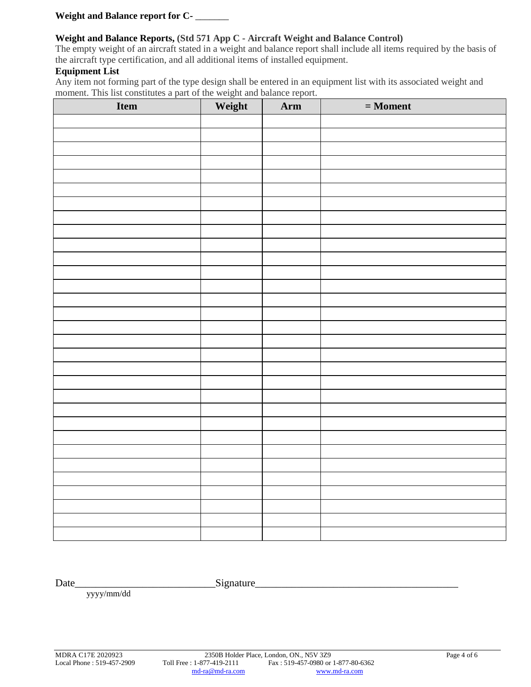**Weight and Balance report for C-** \_\_\_\_\_\_\_

#### **Weight and Balance Reports, (Std 571 App C - Aircraft Weight and Balance Control)**

The empty weight of an aircraft stated in a weight and balance report shall include all items required by the basis of the aircraft type certification, and all additional items of installed equipment.

#### **Equipment List**

Any item not forming part of the type design shall be entered in an equipment list with its associated weight and moment. This list constitutes a part of the weight and balance report.

| Item | Weight | Arm | $=$ Moment |
|------|--------|-----|------------|
|      |        |     |            |
|      |        |     |            |
|      |        |     |            |
|      |        |     |            |
|      |        |     |            |
|      |        |     |            |
|      |        |     |            |
|      |        |     |            |
|      |        |     |            |
|      |        |     |            |
|      |        |     |            |
|      |        |     |            |
|      |        |     |            |
|      |        |     |            |
|      |        |     |            |
|      |        |     |            |
|      |        |     |            |
|      |        |     |            |
|      |        |     |            |
|      |        |     |            |
|      |        |     |            |
|      |        |     |            |
|      |        |     |            |
|      |        |     |            |
|      |        |     |            |
|      |        |     |            |
|      |        |     |            |
|      |        |     |            |
|      |        |     |            |
|      |        |     |            |
|      |        |     |            |

Date\_\_\_\_\_\_\_\_\_\_\_\_\_\_\_\_\_\_\_\_\_\_\_\_\_\_\_Signature\_\_\_\_\_\_\_\_\_\_\_\_\_\_\_\_\_\_\_\_\_\_\_\_\_\_\_\_\_\_\_\_\_\_\_\_\_\_\_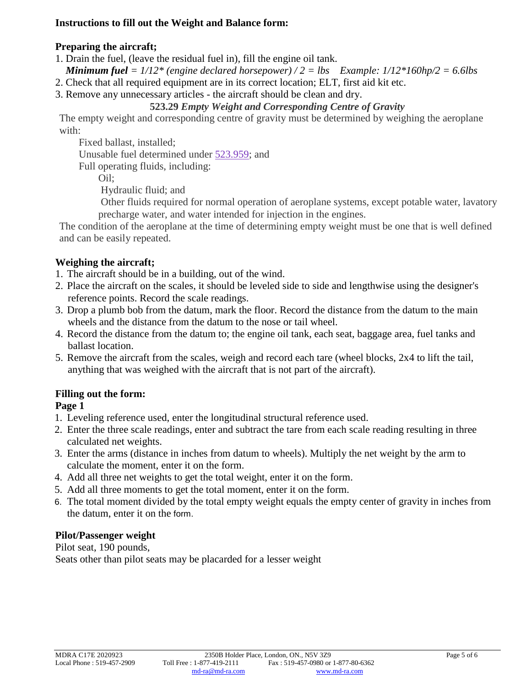## **Instructions to fill out the Weight and Balance form:**

## **Preparing the aircraft;**

- 1. Drain the fuel, (leave the residual fuel in), fill the engine oil tank.
- *Minimum fuel = 1/12\* (engine declared horsepower) / 2 = lbs Example: 1/12\*160hp/2 = 6.6lbs*
- 2. Check that all required equipment are in its correct location; ELT, first aid kit etc.
- 3. Remove any unnecessary articles the aircraft should be clean and dry.

# **523.29** *Empty Weight and Corresponding Centre of Gravity*

The empty weight and corresponding centre of gravity must be determined by weighing the aeroplane with:

Fixed ballast, installed;

Unusable fuel determined under [523.959;](https://www.tc.gc.ca/eng/civilaviation/regserv/cars/part5-standards-523-sub-e-274.htm#523_959) and

Full operating fluids, including:

Oil;

Hydraulic fluid; and

Other fluids required for normal operation of aeroplane systems, except potable water, lavatory precharge water, and water intended for injection in the engines.

The condition of the aeroplane at the time of determining empty weight must be one that is well defined and can be easily repeated.

# **Weighing the aircraft;**

- 1. The aircraft should be in a building, out of the wind.
- 2. Place the aircraft on the scales, it should be leveled side to side and lengthwise using the designer's reference points. Record the scale readings.
- 3. Drop a plumb bob from the datum, mark the floor. Record the distance from the datum to the main wheels and the distance from the datum to the nose or tail wheel.
- 4. Record the distance from the datum to; the engine oil tank, each seat, baggage area, fuel tanks and ballast location.
- 5. Remove the aircraft from the scales, weigh and record each tare (wheel blocks, 2x4 to lift the tail, anything that was weighed with the aircraft that is not part of the aircraft).

# **Filling out the form:**

# **Page 1**

- 1. Leveling reference used, enter the longitudinal structural reference used.
- 2. Enter the three scale readings, enter and subtract the tare from each scale reading resulting in three calculated net weights.
- 3. Enter the arms (distance in inches from datum to wheels). Multiply the net weight by the arm to calculate the moment, enter it on the form.
- 4. Add all three net weights to get the total weight, enter it on the form.
- 5. Add all three moments to get the total moment, enter it on the form.
- 6. The total moment divided by the total empty weight equals the empty center of gravity in inches from the datum, enter it on the form.

# **Pilot/Passenger weight**

Pilot seat, 190 pounds, Seats other than pilot seats may be placarded for a lesser weight